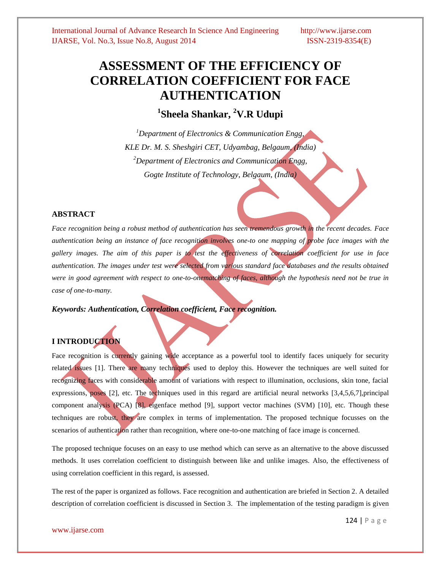# **ASSESSMENT OF THE EFFICIENCY OF CORRELATION COEFFICIENT FOR FACE AUTHENTICATION**

**1 Sheela Shankar, <sup>2</sup>V.R Udupi**

*<sup>1</sup>Department of Electronics & Communication Engg, KLE Dr. M. S. Sheshgiri CET, Udyambag, Belgaum, (India) <sup>2</sup>Department of Electronics and Communication Engg, Gogte Institute of Technology, Belgaum, (India)*

# **ABSTRACT**

*Face recognition being a robust method of authentication has seen tremendous growth in the recent decades. Face authentication being an instance of face recognition involves one-to one mapping of probe face images with the gallery images. The aim of this paper is to test the effectiveness of correlation coefficient for use in face authentication. The images under test were selected from various standard face databases and the results obtained were in good agreement with respect to one-to-onematching of faces, although the hypothesis need not be true in case of one-to-many.* 

*Keywords: Authentication, Correlation coefficient, Face recognition.*

# **I INTRODUCTION**

Face recognition is currently gaining wide acceptance as a powerful tool to identify faces uniquely for security related issues [1]. There are many techniques used to deploy this. However the techniques are well suited for recognizing faces with considerable amount of variations with respect to illumination, occlusions, skin tone, facial expressions, poses [2], etc. The techniques used in this regard are artificial neural networks [3,4,5,6,7],principal component analysis (PCA) [8], eigenface method [9], support vector machines (SVM) [10], etc. Though these techniques are robust, they are complex in terms of implementation. The proposed technique focusses on the scenarios of authentication rather than recognition, where one-to-one matching of face image is concerned.

The proposed technique focuses on an easy to use method which can serve as an alternative to the above discussed methods. It uses correlation coefficient to distinguish between like and unlike images. Also, the effectiveness of using correlation coefficient in this regard, is assessed.

The rest of the paper is organized as follows. Face recognition and authentication are briefed in Section 2. A detailed description of correlation coefficient is discussed in Section 3. The implementation of the testing paradigm is given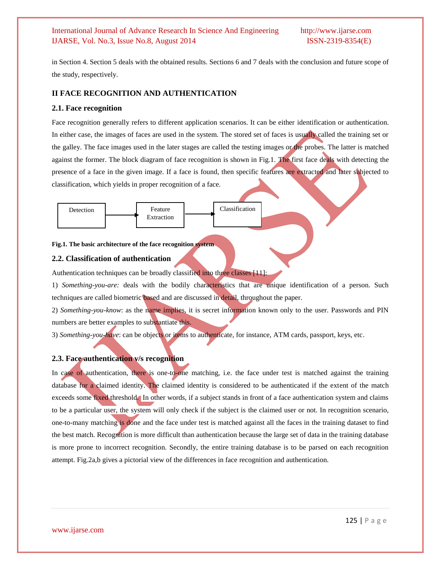in Section 4. Section 5 deals with the obtained results. Sections 6 and 7 deals with the conclusion and future scope of the study, respectively.

# **II FACE RECOGNITION AND AUTHENTICATION**

### **2.1. Face recognition**

Face recognition generally refers to different application scenarios. It can be either identification or authentication. In either case, the images of faces are used in the system. The stored set of faces is usually called the training set or the galley. The face images used in the later stages are called the testing images or the probes. The latter is matched against the former. The block diagram of face recognition is shown in Fig.1. The first face deals with detecting the presence of a face in the given image. If a face is found, then specific features are extracted and later subjected to classification, which yields in proper recognition of a face.



#### **Fig.1. The basic architecture of the face recognition system**

# **2.2. Classification of authentication**

Authentication techniques can be broadly classified into three classes [11]:

1) *Something-you-are:* deals with the bodily characteristics that are unique identification of a person. Such techniques are called biometric based and are discussed in detail, throughout the paper.

2) *Something-you-know*: as the name implies, it is secret information known only to the user. Passwords and PIN numbers are better examples to substantiate this.

3) *Something-you-have*: can be objects or items to authenticate, for instance, ATM cards, passport, keys, etc.

# **2.3. Face authentication v/s recognition**

In case of authentication, there is one-to-one matching, i.e. the face under test is matched against the training database for a claimed identity. The claimed identity is considered to be authenticated if the extent of the match exceeds some fixed threshold. In other words, if a subject stands in front of a face authentication system and claims to be a particular user, the system will only check if the subject is the claimed user or not. In recognition scenario, one-to-many matching is done and the face under test is matched against all the faces in the training dataset to find the best match. Recognition is more difficult than authentication because the large set of data in the training database is more prone to incorrect recognition. Secondly, the entire training database is to be parsed on each recognition attempt. Fig.2a,b gives a pictorial view of the differences in face recognition and authentication.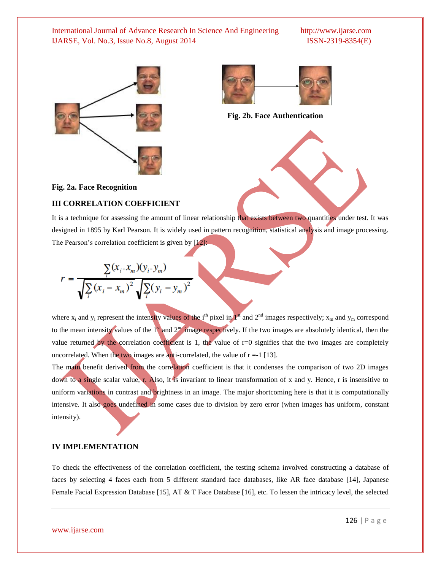



**Fig. 2b. Face Authentication**

**Fig. 2a. Face Recognition**

#### **III CORRELATION COEFFICIENT**

It is a technique for assessing the amount of linear relationship that exists between two quantities under test. It was designed in 1895 by Karl Pearson. It is widely used in pattern recognition, statistical analysis and image processing. The Pearson's correlation coefficient is given by [12]:

$$
r = \frac{\sum_{i} (x_i - x_m)(y_i - y_m)}{\sqrt{\sum_{i} (x_i - x_m)^2} \sqrt{\sum_{i} (y_i - y_m)^2}}
$$

where  $x_i$  and  $y_i$  represent the intensity values of the i<sup>th</sup> pixel in  $I^{sf}$  and  $2^{nd}$  images respectively;  $x_m$  and  $y_m$  correspond to the mean intensity values of the  $1<sup>st</sup>$  and  $2<sup>nd</sup>$  image respectively. If the two images are absolutely identical, then the value returned by the correlation coefficient is 1, the value of  $r=0$  signifies that the two images are completely uncorrelated. When the two images are anti-correlated, the value of  $r = -1$  [13].

The main benefit derived from the correlation coefficient is that it condenses the comparison of two 2D images down to a single scalar value, r. Also, it is invariant to linear transformation of x and y. Hence, r is insensitive to uniform variations in contrast and brightness in an image. The major shortcoming here is that it is computationally intensive. It also goes undefined in some cases due to division by zero error (when images has uniform, constant intensity).

#### **IV IMPLEMENTATION**

To check the effectiveness of the correlation coefficient, the testing schema involved constructing a database of faces by selecting 4 faces each from 5 different standard face databases, like AR face database [14], Japanese Female Facial Expression Database [15], AT & T Face Database [16], etc. To lessen the intricacy level, the selected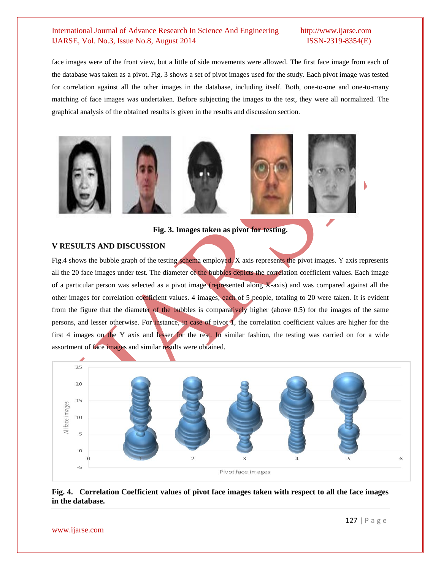face images were of the front view, but a little of side movements were allowed. The first face image from each of the database was taken as a pivot. Fig. 3 shows a set of pivot images used for the study. Each pivot image was tested for correlation against all the other images in the database, including itself. Both, one-to-one and one-to-many matching of face images was undertaken. Before subjecting the images to the test, they were all normalized. The graphical analysis of the obtained results is given in the results and discussion section.



**Fig. 3. Images taken as pivot for testing.**

### **V RESULTS AND DISCUSSION**

Fig.4 shows the bubble graph of the testing schema employed. X axis represents the pivot images. Y axis represents all the 20 face images under test. The diameter of the bubbles depicts the correlation coefficient values. Each image of a particular person was selected as a pivot image (represented along X-axis) and was compared against all the other images for correlation coefficient values. 4 images, each of 5 people, totaling to 20 were taken. It is evident from the figure that the diameter of the bubbles is comparatively higher (above 0.5) for the images of the same persons, and lesser otherwise. For instance, in case of pivot 1, the correlation coefficient values are higher for the first 4 images on the Y axis and lesser for the rest. In similar fashion, the testing was carried on for a wide assortment of face images and similar results were obtained.



# **Fig. 4. Correlation Coefficient values of pivot face images taken with respect to all the face images in the database.**

www.ijarse.com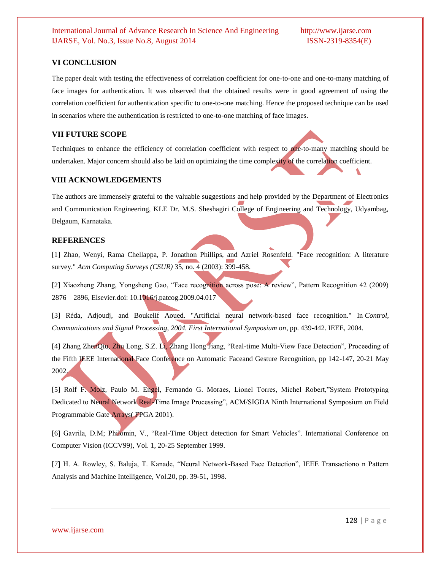#### **VI CONCLUSION**

The paper dealt with testing the effectiveness of correlation coefficient for one-to-one and one-to-many matching of face images for authentication. It was observed that the obtained results were in good agreement of using the correlation coefficient for authentication specific to one-to-one matching. Hence the proposed technique can be used in scenarios where the authentication is restricted to one-to-one matching of face images.

# **VII FUTURE SCOPE**

Techniques to enhance the efficiency of correlation coefficient with respect to one-to-many matching should be undertaken. Major concern should also be laid on optimizing the time complexity of the correlation coefficient.

### **VIII ACKNOWLEDGEMENTS**

The authors are immensely grateful to the valuable suggestions and help provided by the Department of Electronics and Communication Engineering, KLE Dr. M.S. Sheshagiri College of Engineering and Technology, Udyambag, Belgaum, Karnataka.

### **REFERENCES**

[1] Zhao, Wenyi, Rama Chellappa, P. Jonathon Phillips, and Azriel Rosenfeld. "Face recognition: A literature survey." *Acm Computing Surveys (CSUR)* 35, no. 4 (2003): 399-458.

[2] Xiaozheng Zhang, Yongsheng Gao, "Face recognition across pose: A review", Pattern Recognition 42 (2009) 2876 – 2896, Elsevier.doi: 10.1016/j.patcog.2009.04.017

[3] Réda, Adjoudj, and Boukelif Aoued. "Artificial neural network-based face recognition." In *Control, Communications and Signal Processing, 2004. First International Symposium on*, pp. 439-442. IEEE, 2004.

[4] Zhang ZhenQiu, Zhu Long, S.Z. Li, Zhang Hong Jiang, "Real-time Multi-View Face Detection", Proceeding of the Fifth IEEE International Face Conference on Automatic Faceand Gesture Recognition, pp 142-147, 20-21 May 2002.

[5] Rolf F. Molz, Paulo M. Engel, Fernando G. Moraes, Lionel Torres, Michel Robert,"System Prototyping Dedicated to Neural Network Real-Time Image Processing", ACM/SIGDA Ninth International Symposium on Field Programmable Gate Arrays( FPGA 2001).

[6] Gavrila, D.M; Philomin, V., "Real-Time Object detection for Smart Vehicles". International Conference on Computer Vision (ICCV99), Vol. 1, 20-25 September 1999.

[7] H. A. Rowley, S. Baluja, T. Kanade, "Neural Network-Based Face Detection", IEEE Transactiono n Pattern Analysis and Machine Intelligence, Vol.20, pp. 39-51, 1998.